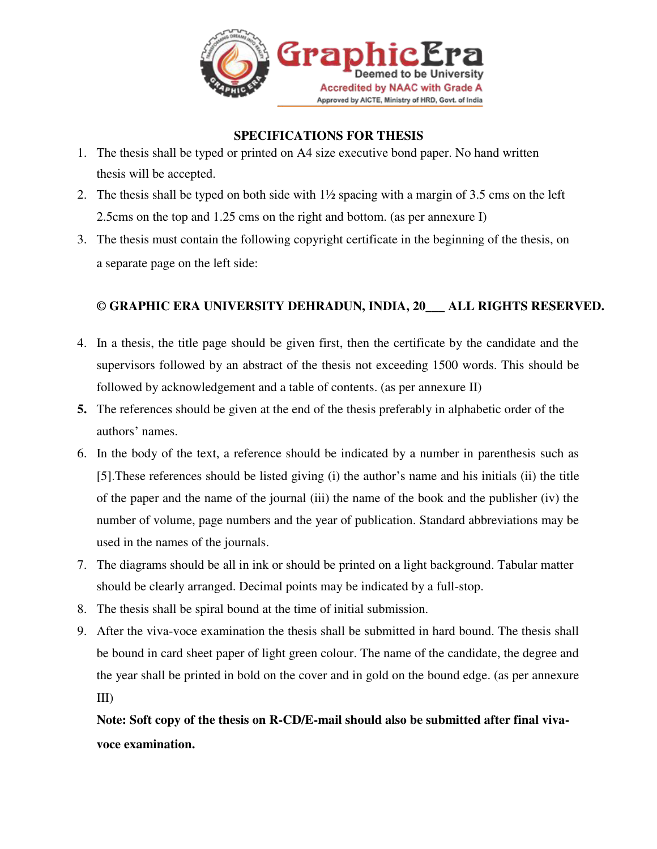

#### **SPECIFICATIONS FOR THESIS**

- 1. The thesis shall be typed or printed on A4 size executive bond paper. No hand written thesis will be accepted.
- 2. The thesis shall be typed on both side with  $1\frac{1}{2}$  spacing with a margin of 3.5 cms on the left 2.5cms on the top and 1.25 cms on the right and bottom. (as per annexure I)
- 3. The thesis must contain the following copyright certificate in the beginning of the thesis, on a separate page on the left side:

#### **© GRAPHIC ERA UNIVERSITY DEHRADUN, INDIA, 20\_\_\_ ALL RIGHTS RESERVED.**

- 4. In a thesis, the title page should be given first, then the certificate by the candidate and the supervisors followed by an abstract of the thesis not exceeding 1500 words. This should be followed by acknowledgement and a table of contents. (as per annexure II)
- **5.** The references should be given at the end of the thesis preferably in alphabetic order of the authors' names.
- 6. In the body of the text, a reference should be indicated by a number in parenthesis such as [5].These references should be listed giving (i) the author's name and his initials (ii) the title of the paper and the name of the journal (iii) the name of the book and the publisher (iv) the number of volume, page numbers and the year of publication. Standard abbreviations may be used in the names of the journals.
- 7. The diagrams should be all in ink or should be printed on a light background. Tabular matter should be clearly arranged. Decimal points may be indicated by a full-stop.
- 8. The thesis shall be spiral bound at the time of initial submission.
- 9. After the viva-voce examination the thesis shall be submitted in hard bound. The thesis shall be bound in card sheet paper of light green colour. The name of the candidate, the degree and the year shall be printed in bold on the cover and in gold on the bound edge. (as per annexure III)

**Note: Soft copy of the thesis on R-CD/E-mail should also be submitted after final vivavoce examination.**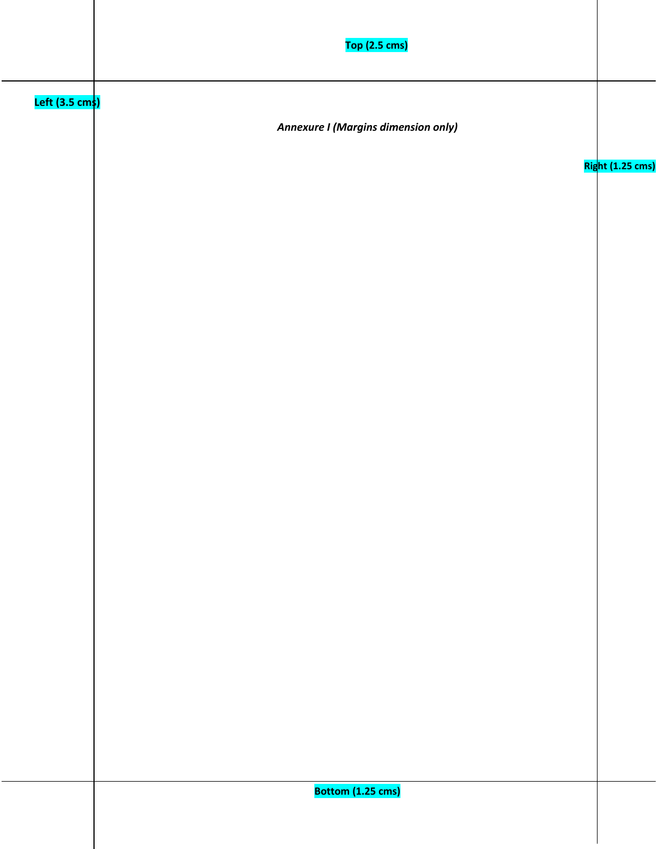|                               | <b>Top (2.5 cms)</b>                       |                  |
|-------------------------------|--------------------------------------------|------------------|
| Left (3.5 cm <mark>s</mark> ) | <b>Annexure I (Margins dimension only)</b> |                  |
|                               |                                            | Right (1.25 cms) |
|                               |                                            |                  |
|                               |                                            |                  |
|                               |                                            |                  |
|                               |                                            |                  |
|                               |                                            |                  |
|                               |                                            |                  |
|                               |                                            |                  |
|                               |                                            |                  |
|                               | Bottom (1.25 cms)                          |                  |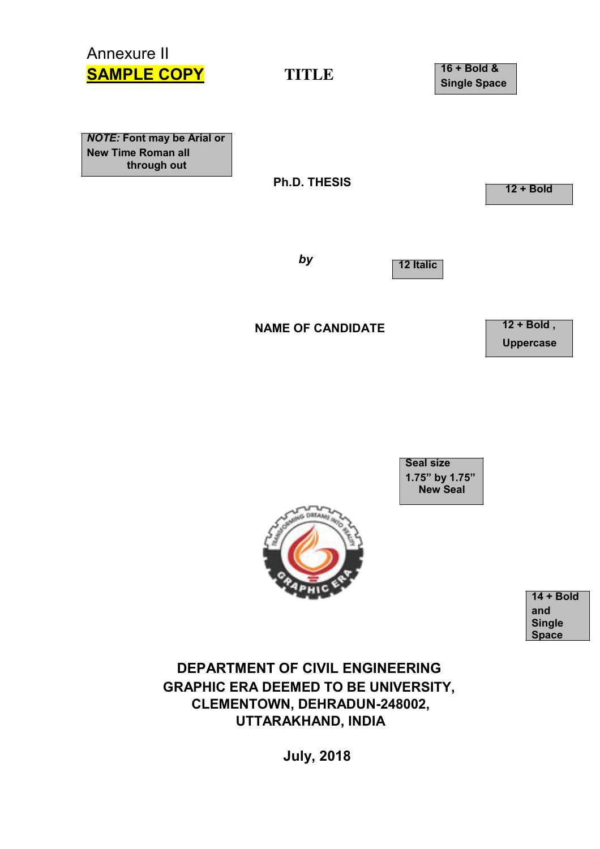# Annexure II **SAMPLE COPY TITLE**

**16 + Bold & Single Space**

*NOTE:* **Font may be Arial or New Time Roman all through out**

**Ph.D. THESIS**

**12 + Bold**

*by*

**12 Italic**

**NAME OF CANDIDATE**

**12 + Bold , Uppercase**

**Seal size 1.75" by 1.75" New Seal**



**14 + Bold and Single Space**

**DEPARTMENT OF CIVIL ENGINEERING GRAPHIC ERA DEEMED TO BE UNIVERSITY, CLEMENTOWN, DEHRADUN-248002, UTTARAKHAND, INDIA**

**July, 2018**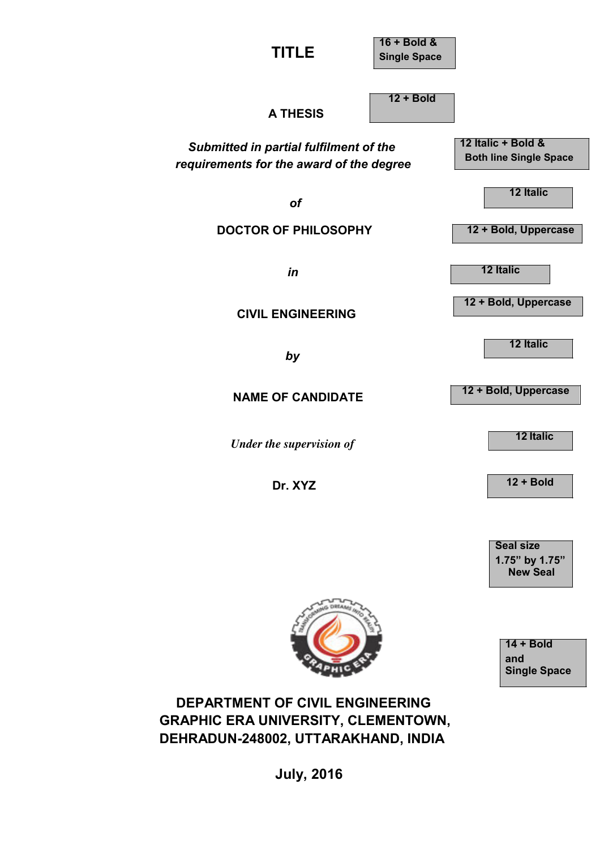**TITLE**

**16 + Bold & Single Space**

**12 + Bold**

**A THESIS**

*Submitted in partial fulfilment of the requirements for the award of the degree*

*of*

**DOCTOR OF PHILOSOPHY**

*in*

**CIVIL ENGINEERING**

*by*

**NAME OF CANDIDATE**

*Under the supervision of*

**Dr. XYZ**

**12 Italic + Bold & Both line Single Space**

**12 Italic**

**12 + Bold, Uppercase**

**12 Italic**

**12 + Bold, Uppercase**

**12 Italic**

**12 + Bold, Uppercase**

**12 Italic** 

**12 + Bold** 

**Seal size 1.75" by 1.75" New Seal**

> **14 + Bold and Single Space**



**DEPARTMENT OF CIVIL ENGINEERING GRAPHIC ERA UNIVERSITY, CLEMENTOWN, DEHRADUN-248002, UTTARAKHAND, INDIA**

**July, 2016**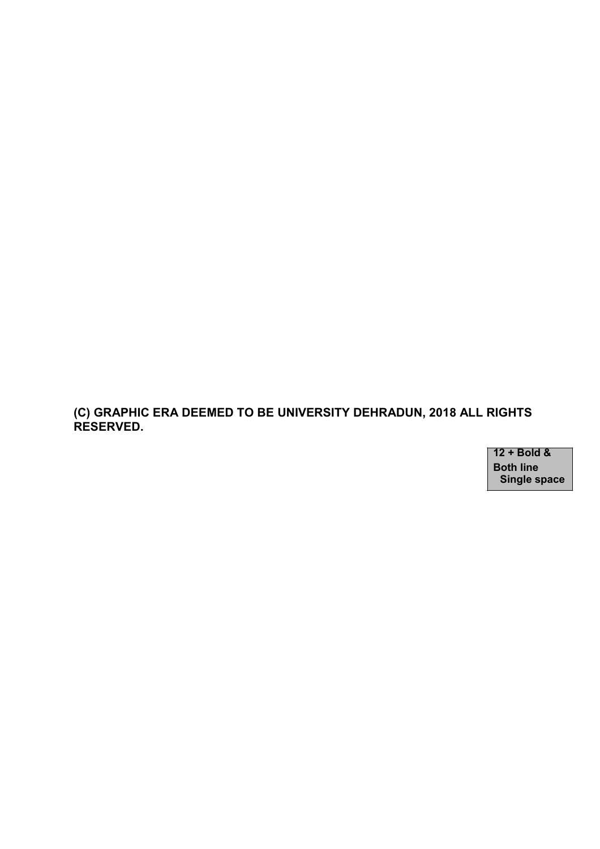**(C) GRAPHIC ERA DEEMED TO BE UNIVERSITY DEHRADUN, 2018 ALL RIGHTS RESERVED.**

> **12 + Bold & Both line Single space**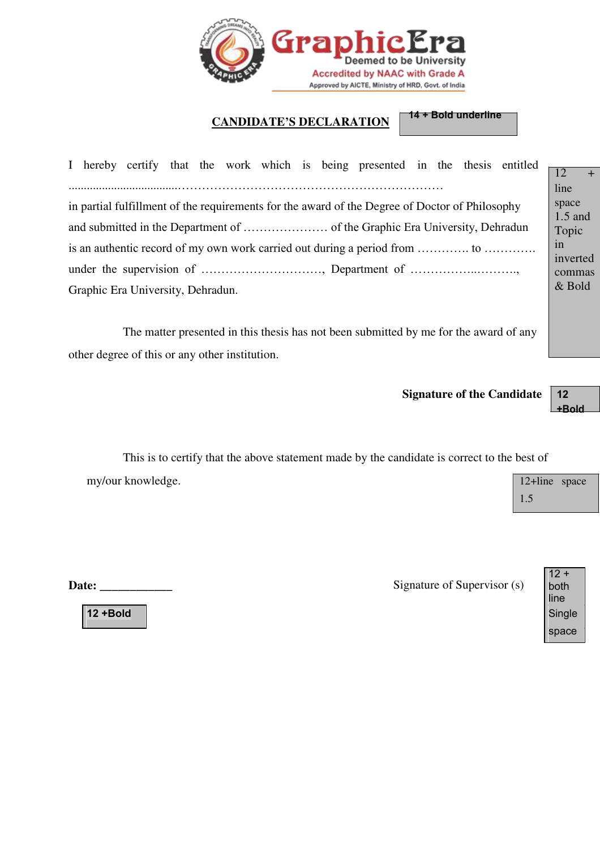

# **CANDIDATE'S DECLARATION 14 + Bold underline**

| I hereby certify that the work which is being presented in the thesis entitled                 | $+$<br>$\overline{12}$ |  |
|------------------------------------------------------------------------------------------------|------------------------|--|
|                                                                                                | line                   |  |
| in partial fulfillment of the requirements for the award of the Degree of Doctor of Philosophy | space<br>$1.5$ and     |  |
|                                                                                                | Topic                  |  |
| in<br>is an authentic record of my own work carried out during a period from                   |                        |  |
|                                                                                                | inverted<br>commas     |  |
| $&$ Bold<br>Graphic Era University, Dehradun.                                                  |                        |  |

The matter presented in this thesis has not been submitted by me for the award of any other degree of this or any other institution.

**Signature of the Candidate 12**

**+Bold**

This is to certify that the above statement made by the candidate is correct to the best of my/our knowledge. 12+line space

**Date: \_\_\_\_\_\_\_\_\_\_\_\_** Signature of Supervisor (s)



**12 +Bold** Single

1.5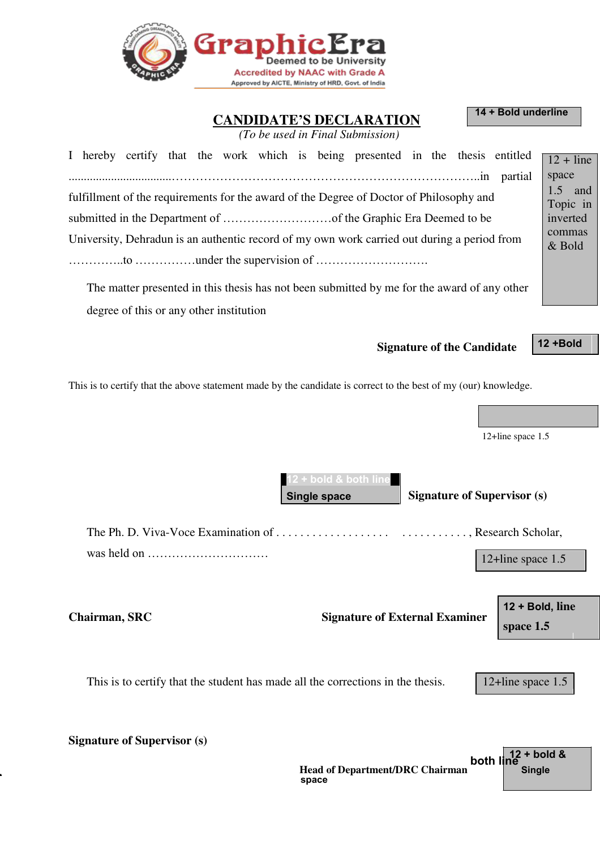

**CANDIDATE'S DECLARATION 14 + Bold underline**

*(To be used in Final Submission)*

| I hereby certify that the work which is being presented in the thesis entitled $\sqrt{12 + \text{line}}$                       |                      |  |
|--------------------------------------------------------------------------------------------------------------------------------|----------------------|--|
|                                                                                                                                | space<br>$1.5$ and   |  |
| fulfillment of the requirements for the award of the Degree of Doctor of Philosophy and                                        | Topic in<br>inverted |  |
|                                                                                                                                |                      |  |
| University, Dehradun is an authentic record of my own work carried out during a period from                                    |                      |  |
|                                                                                                                                |                      |  |
| $\overline{\text{m}}$ , and the contract of the theories of the contraction of the contract of the contract of the contract of |                      |  |

The matter presented in this thesis has not been submitted by me for the award of any other degree of this or any other institution

**Signature of the Candidate 12 +Bold**

This is to certify that the above statement made by the candidate is correct to the best of my (our) knowledge.

12+line space 1.5

**bold & both li Single space Signature of Supervisor (s)**

The Ph. D. Viva-Voce Examination of . . . . . . . . . . . . . . . . . . . . . . . . . . . . . . , Research Scholar, was held on ………………………… 12+line space 1.5

**Chairman, SRC Signature of External Examiner**

**12 + Bold, line space 1.5**

This is to certify that the student has made all the corrections in the thesis. 12+line space 1.5

**Signature of Supervisor (s)**

|                                        | both $\ln 12 + \text{bold } 8$ |
|----------------------------------------|--------------------------------|
| <b>Head of Department/DRC Chairman</b> | <b>Single</b>                  |
| space                                  |                                |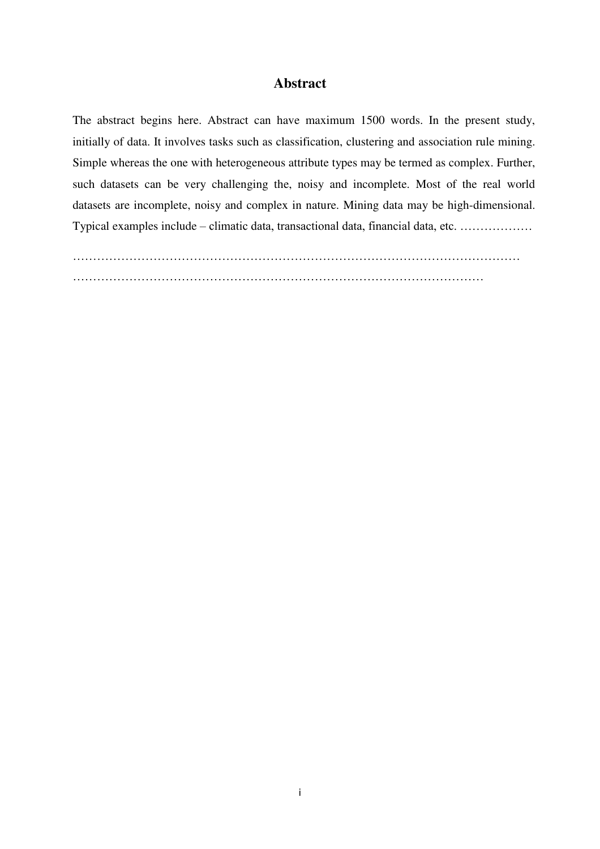#### **Abstract**

The abstract begins here. Abstract can have maximum 1500 words. In the present study, initially of data. It involves tasks such as classification, clustering and association rule mining. Simple whereas the one with heterogeneous attribute types may be termed as complex. Further, such datasets can be very challenging the, noisy and incomplete. Most of the real world datasets are incomplete, noisy and complex in nature. Mining data may be high-dimensional. Typical examples include – climatic data, transactional data, financial data, etc. ………………

………………………………………………………………………………………………… …………………………………………………………………………………………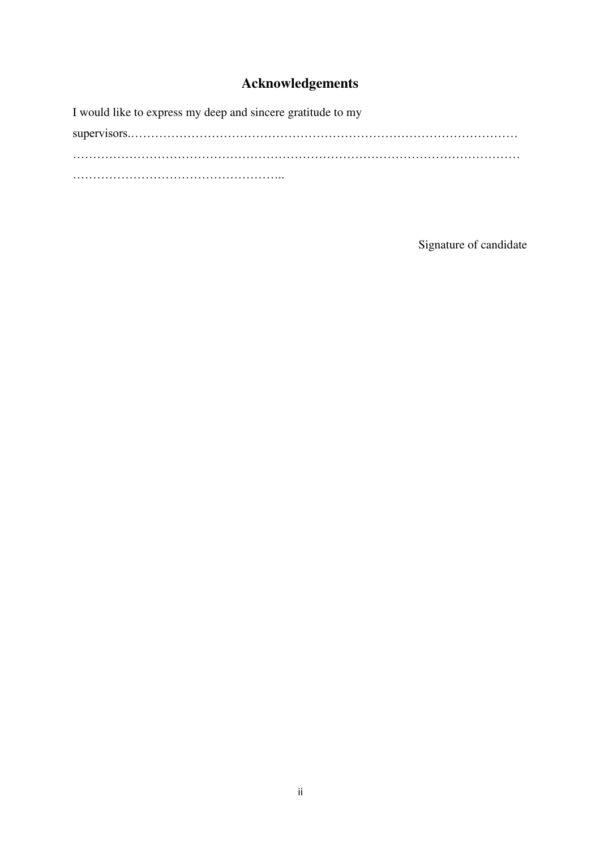### **Acknowledgements**

I would like to express my deep and sincere gratitude to my

supervisors.…………………………………………………………………………………… ………………………………………………………………………………………………… ……………………………………………..

Signature of candidate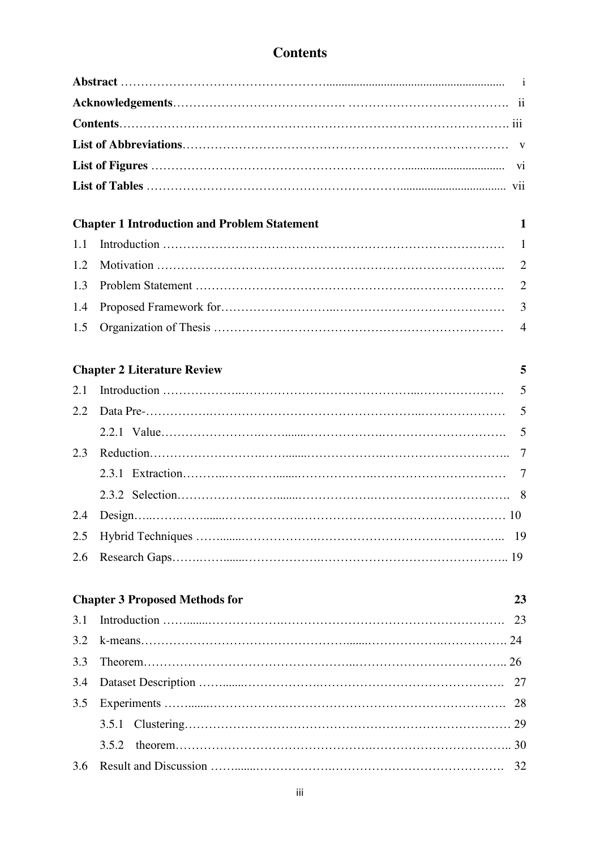## **Contents**

|     | <b>Chapter 1 Introduction and Problem Statement</b> | 1              |
|-----|-----------------------------------------------------|----------------|
| 1.1 |                                                     | 1              |
| 1.2 |                                                     | $\overline{2}$ |
| 1.3 |                                                     | $\overline{2}$ |
| 1.4 |                                                     | 3              |
| 1.5 |                                                     | $\overline{4}$ |
|     | <b>Chapter 2 Literature Review</b>                  | 5              |
| 2.1 |                                                     | 5              |
| 2.2 |                                                     | 5              |
|     |                                                     | 5              |
| 2.3 |                                                     | 7              |
|     |                                                     | 7              |
|     |                                                     |                |
| 2.4 |                                                     |                |
| 2.5 |                                                     | 19             |
| 2.6 |                                                     |                |
|     | <b>Chapter 3 Proposed Methods for</b>               | 23             |
| 3.1 |                                                     | 23             |
| 3.2 |                                                     |                |
| 3.3 |                                                     |                |
| 3.4 |                                                     | 27             |
| 3.5 |                                                     | 28             |
|     | 3.5.1                                               | 29             |
|     | 3.5.2                                               |                |
| 3.6 |                                                     | 32             |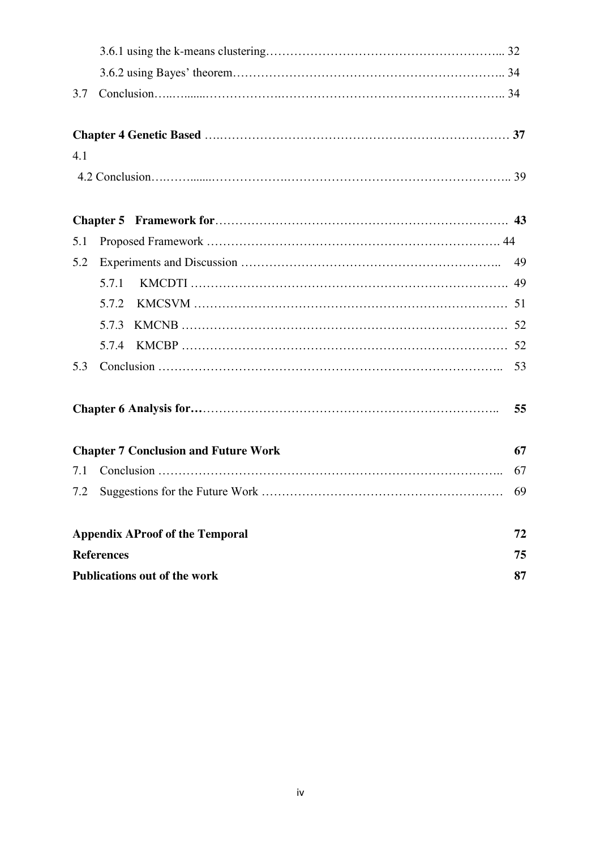| 3.7 |                                             |    |  |
|-----|---------------------------------------------|----|--|
|     |                                             |    |  |
| 4.1 |                                             |    |  |
|     |                                             |    |  |
|     |                                             |    |  |
| 5.1 |                                             |    |  |
| 5.2 |                                             | 49 |  |
|     | 5.7.1                                       |    |  |
|     | 5.7.2                                       |    |  |
|     | 5.7.3                                       |    |  |
|     | 5.7.4                                       |    |  |
| 5.3 |                                             |    |  |
|     |                                             | 55 |  |
|     | <b>Chapter 7 Conclusion and Future Work</b> | 67 |  |
| 7.1 |                                             | 67 |  |
|     | 7.2 Suggestions for the Future Work         | 69 |  |
|     | <b>Appendix AProof of the Temporal</b>      | 72 |  |
|     | <b>References</b>                           | 75 |  |
|     | <b>Publications out of the work</b><br>87   |    |  |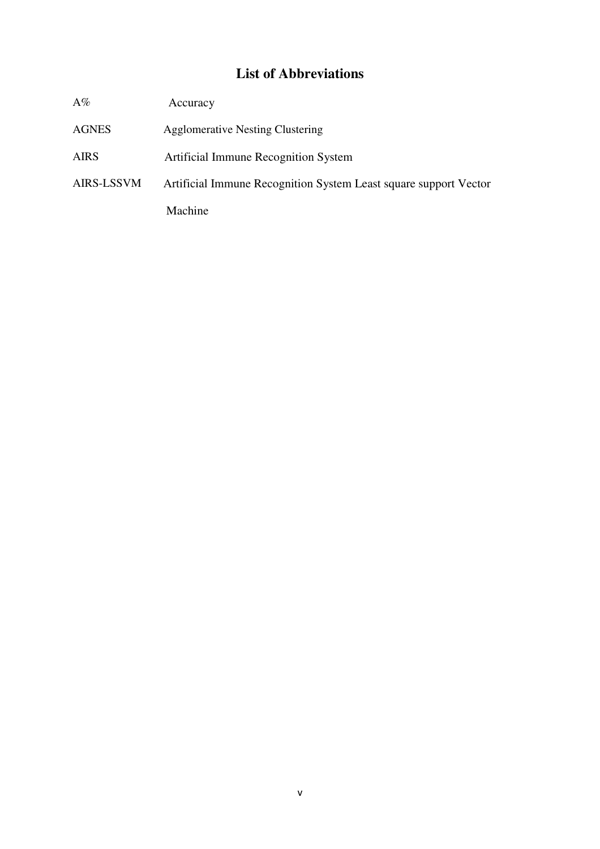### **List of Abbreviations**

| $\mathrm{A}\%$    | Accuracy                                                         |
|-------------------|------------------------------------------------------------------|
| <b>AGNES</b>      | <b>Agglomerative Nesting Clustering</b>                          |
| <b>AIRS</b>       | Artificial Immune Recognition System                             |
| <b>AIRS-LSSVM</b> | Artificial Immune Recognition System Least square support Vector |
|                   | Machine                                                          |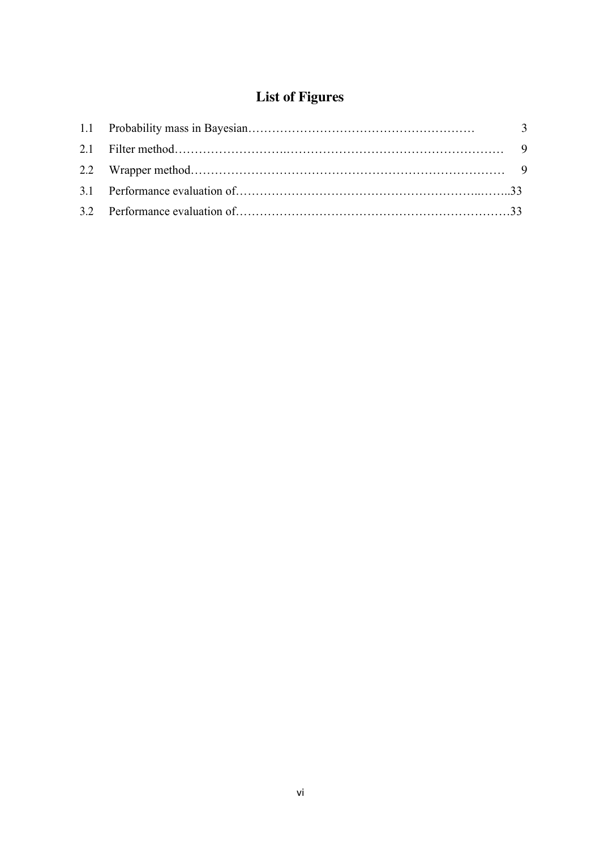# **List of Figures**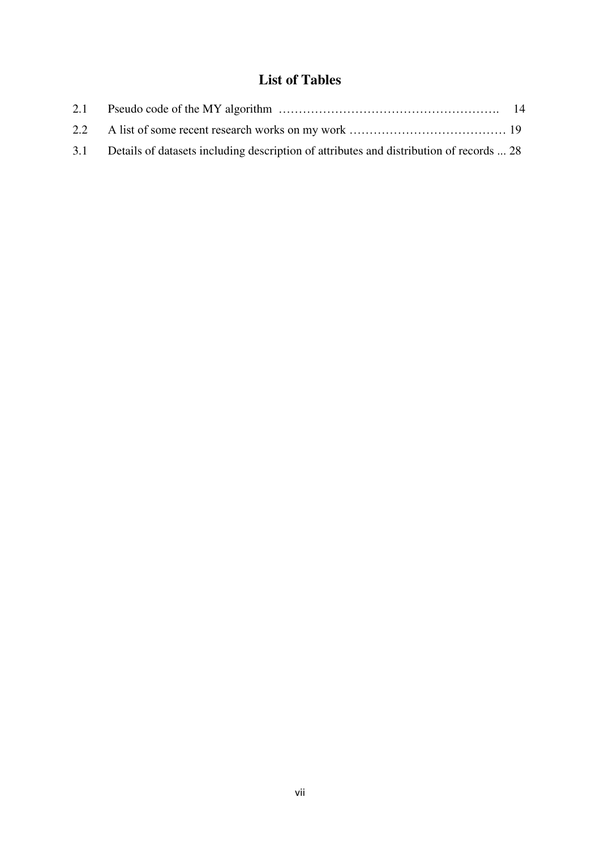## **List of Tables**

| 3.1 Details of datasets including description of attributes and distribution of records  28 |  |
|---------------------------------------------------------------------------------------------|--|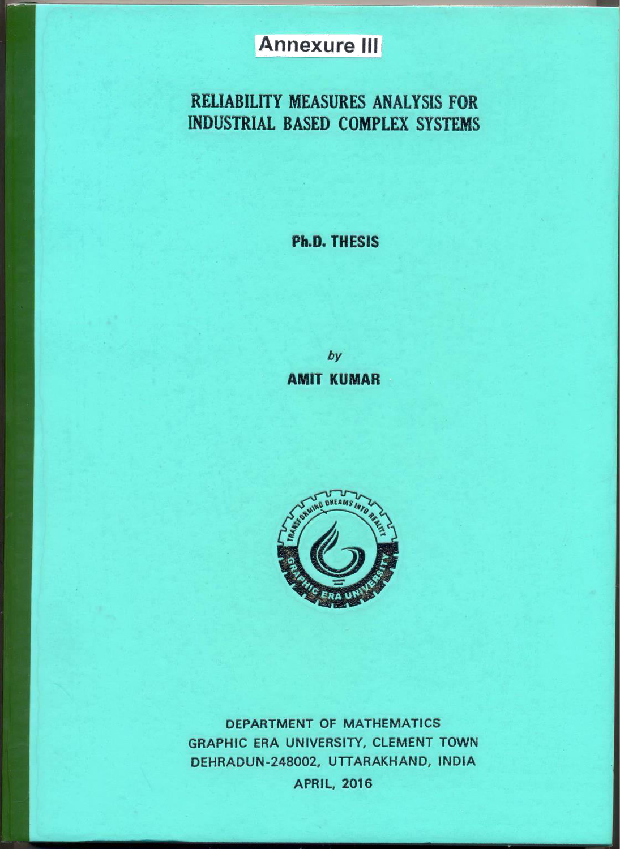# **Annexure III**

# RELIABILITY MEASURES ANALYSIS FOR **INDUSTRIAL BASED COMPLEX SYSTEMS**

## **Ph.D. THESIS**

by **AMIT KUMAR** 



DEPARTMENT OF MATHEMATICS GRAPHIC ERA UNIVERSITY, CLEMENT TOWN DEHRADUN-248002, UTTARAKHAND, INDIA

**APRIL, 2016**